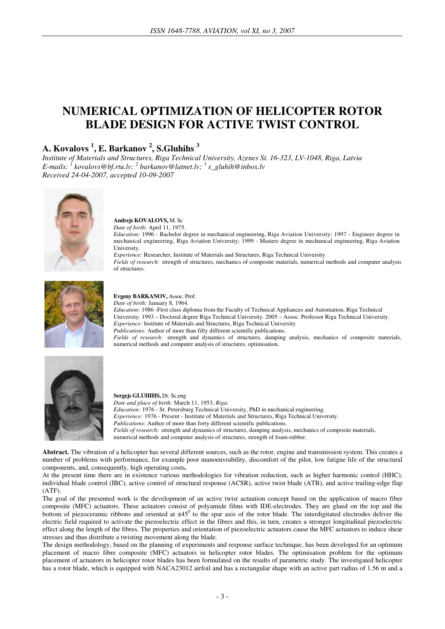# **NUMERICAL OPTIMIZATION OF HELICOPTER ROTOR BLADE DESIGN FOR ACTIVE TWIST CONTROL**

## **A. Kovalovs <sup>1</sup> , E. Barkanov <sup>2</sup> , S.Gluhihs <sup>3</sup>**

*Institute of Materials and Structures, Riga Technical University, Azenes St. 16-323, LV-1048, Riga, Latvia E-mails: <sup>1</sup> kovalovs@bf.rtu.lv; <sup>2</sup> barkanov@latnet.lv; <sup>3</sup> s\_gluhih@inbox.lv Received 24-04-2007, accepted 10-09-2007* 



### **Andrejs KOVALOVS,** M. Sc

*Date of birth:* April 11, 1975.

*Education:* 1996 - Bachelor degree in mechanical engineering, Riga Aviation University; 1997 - Engineer degree in mechanical engineering, Riga Aviation University; 1999 - Masters degree in mechanical engineering, Riga Aviation University.

*Experience:* Researcher, Institute of Materials and Structures, Riga Technical University *Fields of research:* strength of structures, mechanics of composite materials, numerical methods and computer analysis

of structures.



#### **Evgeny BARKANOV,** Assoc. Prof.

*Date of birth:* January 8, 1964.

*Education:* 1986 -First class diploma from the Faculty of Technical Appliances and Automation, Riga Technical University. 1993 – Doctoral degree Riga Technical University. 2005 – Assoc. Professor Riga Technical University. *Experience:* Institute of Materials and Structures, Riga Technical University

*Publications:* Author of more than fifty different scientific publications.

*Fields of research:* strength and dynamics of structures, damping analysis, mechanics of composite materials, numerical methods and computer analysis of structures, optimisation.



**Sergejs GLUHIHS,** Dr. Sc.eng *Date and place of birth:* March 11, 1953, *Riga. Education:* 1976 - St. Petersburg Technical University, PhD in mechanical engineering. *Experience:* 1976 - Present - Institute of Materials and Structures, Riga Technical University. *Publications:* Author of more than forty different scientific publications. *Fields of research:* strength and dynamics of structures, damping analysis, mechanics of composite materials, numerical methods and computer analysis of structures, strength of foam-rubber*.*

**Abstract.** The vibration of a helicopter has several different sources, such as the rotor, engine and transmission system. This creates a number of problems with performance, for example poor manoeuvrability, discomfort of the pilot, low fatigue life of the structural components, and, consequently, high operating costs**.** 

At the present time there are in existence various methodologies for vibration reduction, such as higher harmonic control (HHC), individual blade control (IBC), active control of structural response (ACSR), active twist blade (ATB), and active trailing-edge flap (ATF).

The goal of the presented work is the development of an active twist actuation concept based on the application of macro fiber composite (MFC) actuators. These actuators consist of polyamide films with IDE-electrodes. They are glued on the top and the bottom of piezoceramic ribbons and oriented at  $\pm 45^0$  to the spar axis of the rotor blade. The interdigitated electrodes deliver the electric field required to activate the piezoelectric effect in the fibres and this, in turn, creates a stronger longitudinal piezoelectric effect along the length of the fibres. The properties and orientation of piezoelectric actuators cause the MFC actuators to induce shear stresses and thus distribute a twisting movement along the blade.

The design methodology, based on the planning of experiments and response surface technique, has been developed for an optimum placement of macro fibre composite (MFC) actuators in helicopter rotor blades. The optimisation problem for the optimum placement of actuators in helicopter rotor blades has been formulated on the results of parametric study. The investigated helicopter has a rotor blade, which is equipped with NACA23012 airfoil and has a rectangular shape with an active part radius of 1.56 m and a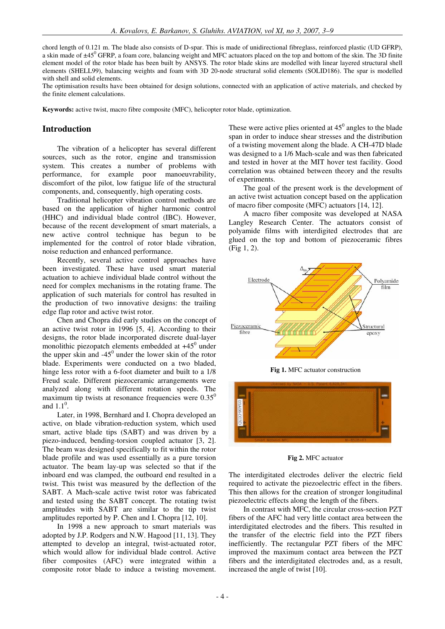chord length of 0.121 m. The blade also consists of D-spar. This is made of unidirectional fibreglass, reinforced plastic (UD GFRP), a skin made of ±45<sup>0</sup> GFRP, a foam core, balancing weight and MFC actuators placed on the top and bottom of the skin. The 3D finite element model of the rotor blade has been built by ANSYS. The rotor blade skins are modelled with linear layered structural shell elements (SHELL99), balancing weights and foam with 3D 20-node structural solid elements (SOLID186). The spar is modelled with shell and solid elements.

The optimisation results have been obtained for design solutions, connected with an application of active materials, and checked by the finite element calculations.

**Keywords:** active twist, macro fibre composite (MFC), helicopter rotor blade, optimization.

#### **Introduction**

The vibration of a helicopter has several different sources, such as the rotor, engine and transmission system. This creates a number of problems with performance, for example poor manoeuvrability, discomfort of the pilot, low fatigue life of the structural components, and, consequently, high operating costs.

Traditional helicopter vibration control methods are based on the application of higher harmonic control (HHC) and individual blade control (IBC). However, because of the recent development of smart materials, a new active control technique has begun to be implemented for the control of rotor blade vibration, noise reduction and enhanced performance.

Recently, several active control approaches have been investigated. These have used smart material actuation to achieve individual blade control without the need for complex mechanisms in the rotating frame. The application of such materials for control has resulted in the production of two innovative designs: the trailing edge flap rotor and active twist rotor.

Chen and Chopra did early studies on the concept of an active twist rotor in 1996 [5, 4]. According to their designs, the rotor blade incorporated discrete dual-layer monolithic piezopatch elements embedded at  $+45^0$  under the upper skin and  $-45^{\circ}$  under the lower skin of the rotor blade. Experiments were conducted on a two bladed, hinge less rotor with a 6-foot diameter and built to a 1/8 Freud scale. Different piezoceramic arrangements were analyzed along with different rotation speeds. The maximum tip twists at resonance frequencies were  $0.35^\circ$ and  $1.1^\circ$ .

Later, in 1998, Bernhard and I. Chopra developed an active, on blade vibration-reduction system, which used smart, active blade tips (SABT) and was driven by a piezo-induced, bending-torsion coupled actuator [3, 2]. The beam was designed specifically to fit within the rotor blade profile and was used essentially as a pure torsion actuator. The beam lay-up was selected so that if the inboard end was clamped, the outboard end resulted in a twist. This twist was measured by the deflection of the SABT. A Mach-scale active twist rotor was fabricated and tested using the SABT concept. The rotating twist amplitudes with SABT are similar to the tip twist amplitudes reported by P. Chen and I. Chopra [12, 10].

In 1998 a new approach to smart materials was adopted by J.P. Rodgers and N.W. Hagood [11, 13]. They attempted to develop an integral, twist-actuated rotor, which would allow for individual blade control. Active fiber composites (AFC) were integrated within a composite rotor blade to induce a twisting movement.

These were active plies oriented at  $45^\circ$  angles to the blade span in order to induce shear stresses and the distribution of a twisting movement along the blade. A CH-47D blade was designed to a 1/6 Mach-scale and was then fabricated and tested in hover at the MIT hover test facility. Good correlation was obtained between theory and the results of experiments.

The goal of the present work is the development of an active twist actuation concept based on the application of macro fiber composite (MFC) actuators [14, 12].

A macro fiber composite was developed at NASA Langley Research Center. The actuators consist of polyamide films with interdigited electrodes that are glued on the top and bottom of piezoceramic fibres (Fig 1, 2).



**Fig 1.** MFC actuator construction



**Fig 2.** MFC actuator

The interdigitated electrodes deliver the electric field required to activate the piezoelectric effect in the fibers. This then allows for the creation of stronger longitudinal piezoelectric effects along the length of the fibers.

In contrast with MFC, the circular cross-section PZT fibers of the AFC had very little contact area between the interdigitated electrodes and the fibers. This resulted in the transfer of the electric field into the PZT fibers inefficiently. The rectangular PZT fibers of the MFC improved the maximum contact area between the PZT fibers and the interdigitated electrodes and, as a result, increased the angle of twist [10].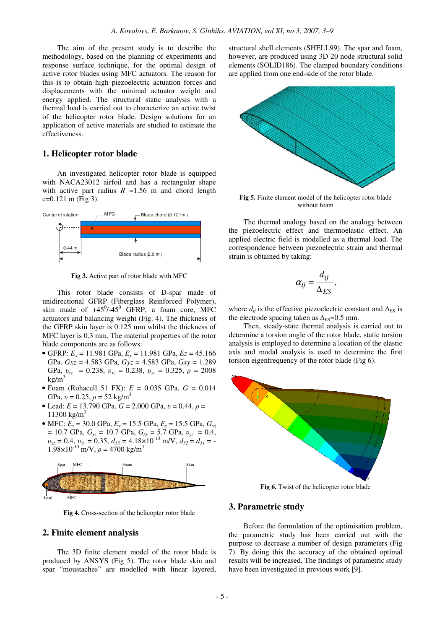The aim of the present study is to describe the methodology, based on the planning of experiments and response surface technique, for the optimal design of active rotor blades using MFC actuators. The reason for this is to obtain high piezoelectric actuation forces and displacements with the minimal actuator weight and energy applied. The structural static analysis with a thermal load is carried out to characterize an active twist of the helicopter rotor blade. Design solutions for an application of active materials are studied to estimate the effectiveness.

#### 1. Helicopter rotor blade

An investigated helicopter rotor blade is equipped with NACA23012 airfoil and has a rectangular shape with active part radius  $R = 1.56$  m and chord length  $c=0.121$  m (Fig 3).



Fig 3. Active part of rotor blade with MFC

This rotor blade consists of D-spar made of unidirectional GFRP (Fiberglass Reinforced Polymer), skin made of  $+45^0$ /-45<sup>0</sup> GFRP, a foam core, MFC actuators and balancing weight (Fig. 4). The thickness of the GFRP skin layer is 0.125 mm whilst the thickness of MFC layer is 0.3 mm. The material properties of the rotor blade components are as follows:

- GFRP:  $E_x = 11.981$  GPa,  $E_y = 11.981$  GPa,  $E_z = 45.166$ GPa,  $Gxz = 4.583$  GPa,  $Gyz = 4.583$  GPa,  $Gxy = 1.289$ GPa,  $v_{yz}$  = 0.238,  $v_{xz}$  = 0.238,  $v_{xy}$  = 0.325,  $\rho$  = 2008  $k\text{g/m}^3$
- Foam (Rohacell 51 FX):  $E = 0.035$  GPa,  $G = 0.014$ GPa,  $v = 0.25$ ,  $\rho = 52$  kg/m<sup>3</sup>
- Lead:  $E = 13.790$  GPa,  $G = 2.000$  GPa,  $v = 0.44$ ,  $\rho =$ 11300 kg/m<sup>3</sup>
- MFC:  $E_x = 30.0 \text{ GPa}$ ,  $E_y = 15.5 \text{ GPa}$ ,  $E_z = 15.5 \text{ GPa}$ ,  $G_{xz}$ = 10.7 GPa,  $G_{yz}$  = 10.7 GPa,  $G_{xy}$  = 5.7 GPa,  $v_{yz}$  = 0.4,  $v_{xz} = 0.4$ ,  $v_{xy} = 0.35$ ,  $d_{33} = 4.18 \times 10^{-10}$  m/V,  $d_{32} = d_{31} = 1.98 \times 10^{-10}$  m/V,  $\rho = 4700$  kg/m<sup>3</sup>



Fig 4. Cross-section of the helicopter rotor blade

#### 2. Finite element analysis

The 3D finite element model of the rotor blade is produced by ANSYS (Fig 5). The rotor blade skin and spar "moustaches" are modelled with linear layered,

structural shell elements (SHELL99). The spar and foam, however, are produced using 3D 20 node structural solid elements (SOLID186). The clamped boundary conditions are applied from one end-side of the rotor blade.



Fig 5. Finite element model of the helicopter rotor blade without foam

The thermal analogy based on the analogy between the piezoelectric effect and thermoelastic effect. An applied electric field is modelled as a thermal load. The correspondence between piezoelectric strain and thermal strain is obtained by taking:

$$
\alpha_{ij} = \frac{d_{ij}}{\Delta_{ES}}
$$

where  $d_{ij}$  is the effective piezoelectric constant and  $\Delta_{ES}$  is the electrode spacing taken as  $\Delta_{ES} = 0.5$  mm.

Then, steady-state thermal analysis is carried out to determine a torsion angle of the rotor blade, static torsion analysis is employed to determine a location of the elastic axis and modal analysis is used to determine the first torsion eigenfrequency of the rotor blade (Fig 6).



Fig 6. Twist of the helicopter rotor blade

#### 3. Parametric study

Before the formulation of the optimisation problem, the parametric study has been carried out with the purpose to decrease a number of design parameters (Fig 7). By doing this the accuracy of the obtained optimal results will be increased. The findings of parametric study have been investigated in previous work [9].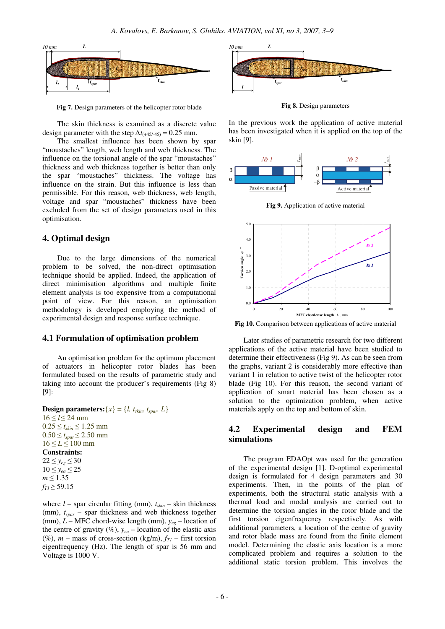

Fig 7. Design parameters of the helicopter rotor blade

The skin thickness is examined as a discrete value design parameter with the step  $\Delta t_{(+45/-45)} = 0.25$  mm.

The smallest influence has been shown by spar "moustaches" length, web length and web thickness. The influence on the torsional angle of the spar "moustaches" thickness and web thickness together is better than only the spar "moustaches" thickness. The voltage has influence on the strain. But this influence is less than permissible. For this reason, web thickness, web length, voltage and spar "moustaches" thickness have been excluded from the set of design parameters used in this optimisation.

#### 4. Optimal design

Due to the large dimensions of the numerical problem to be solved, the non-direct optimisation technique should be applied. Indeed, the application of direct minimisation algorithms and multiple finite element analysis is too expensive from a computational point of view. For this reason, an optimisation methodology is developed employing the method of experimental design and response surface technique.

#### 4.1 Formulation of optimisation problem

An optimisation problem for the optimum placement of actuators in helicopter rotor blades has been formulated based on the results of parametric study and taking into account the producer's requirements (Fig 8)  $[9]:$ 

```
Design parameters: \{x\} = \{l, t_{skin}, t_{span}, L\}16 \le l \le 24 mm
0.25 \le t_{skin} \le 1.25 mm
0.50 \le t_{spar} \le 2.50 mm
16 \le L \le 100 mm
Constraints:
22 \le y_{cg} \le 3010 \le y_{ea} \le 25m \leq 1.35
```
 $f_{Tl} \ge 59.15$ 

where  $l$  – spar circular fitting (mm),  $t_{skin}$  – skin thickness (mm),  $t_{spar}$  – spar thickness and web thickness together (mm),  $L$  – MFC chord-wise length (mm),  $y_{ce}$  – location of the centre of gravity (%),  $y_{ea}$  – location of the elastic axis (%), m – mass of cross-section (kg/m),  $f_{TI}$  – first torsion eigenfrequency (Hz). The length of spar is 56 mm and Voltage is 1000 V.



Fig 8. Design parameters

In the previous work the application of active material has been investigated when it is applied on the top of the skin [9].



Fig 9. Application of active material



Fig 10. Comparison between applications of active material

Later studies of parametric research for two different applications of the active material have been studied to determine their effectiveness (Fig 9). As can be seen from the graphs, variant 2 is considerably more effective than variant 1 in relation to active twist of the helicopter rotor blade (Fig 10). For this reason, the second variant of application of smart material has been chosen as a solution to the optimization problem, when active materials apply on the top and bottom of skin.

#### $4.2$ **Experimental** design **FEM** and simulations

The program EDAOpt was used for the generation of the experimental design [1]. D-optimal experimental design is formulated for 4 design parameters and 30 experiments. Then, in the points of the plan of experiments, both the structural static analysis with a thermal load and modal analysis are carried out to determine the torsion angles in the rotor blade and the first torsion eigenfrequency respectively. As with additional parameters, a location of the centre of gravity and rotor blade mass are found from the finite element model. Determining the elastic axis location is a more complicated problem and requires a solution to the additional static torsion problem. This involves the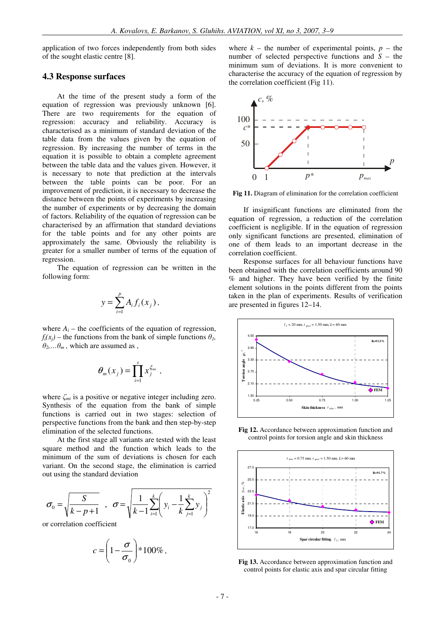application of two forces independently from both sides of the sought elastic centre [8].

#### **4.3 Response surfaces**

At the time of the present study a form of the equation of regression was previously unknown [6]. There are two requirements for the equation of regression: accuracy and reliability. Accuracy is characterised as a minimum of standard deviation of the table data from the values given by the equation of regression. By increasing the number of terms in the equation it is possible to obtain a complete agreement between the table data and the values given. However, it is necessary to note that prediction at the intervals between the table points can be poor. For an improvement of prediction, it is necessary to decrease the distance between the points of experiments by increasing the number of experiments or by decreasing the domain of factors. Reliability of the equation of regression can be characterised by an affirmation that standard deviations for the table points and for any other points are approximately the same. Obviously the reliability is greater for a smaller number of terms of the equation of regression.

The equation of regression can be written in the following form:

$$
y = \sum_{i=1}^p A_i f_i(x_j),
$$

where  $A_i$  – the coefficients of the equation of regression,  $f_i(x_i)$  – the functions from the bank of simple functions  $\theta_i$ ,  $\theta_2$ *,...* $\theta_m$ *,* which are assumed as ,

$$
\theta_m(x_j) = \prod_{i=1}^s x_j^{\xi_{mi}} ,
$$

where  $\zeta_{mi}$  is a positive or negative integer including zero. Synthesis of the equation from the bank of simple functions is carried out in two stages: selection of perspective functions from the bank and then step-by-step elimination of the selected functions.

At the first stage all variants are tested with the least square method and the function which leads to the minimum of the sum of deviations is chosen for each variant. On the second stage, the elimination is carried out using the standard deviation

$$
\sigma_0 = \sqrt{\frac{S}{k - p + 1}} \quad , \quad \sigma = \sqrt{\frac{1}{k - 1} \sum_{i=1}^k \left( y_i - \frac{1}{k} \sum_{j=1}^k y_j \right)^2}
$$

or correlation coefficient

$$
c = \left(1 - \frac{\sigma}{\sigma_0}\right) * 100\%,
$$

where  $k -$  the number of experimental points,  $p -$  the number of selected perspective functions and *S* – the minimum sum of deviations. It is more convenient to characterise the accuracy of the equation of regression by the correlation coefficient (Fig 11).



**Fig 11.** Diagram of elimination for the correlation coefficient

If insignificant functions are eliminated from the equation of regression, a reduction of the correlation coefficient is negligible. If in the equation of regression only significant functions are presented, elimination of one of them leads to an important decrease in the correlation coefficient.

Response surfaces for all behaviour functions have been obtained with the correlation coefficients around 90 % and higher. They have been verified by the finite element solutions in the points different from the points taken in the plan of experiments. Results of verification are presented in figures 12–14.



**Fig 12.** Accordance between approximation function and control points for torsion angle and skin thickness



**Fig 13.** Accordance between approximation function and control points for elastic axis and spar circular fitting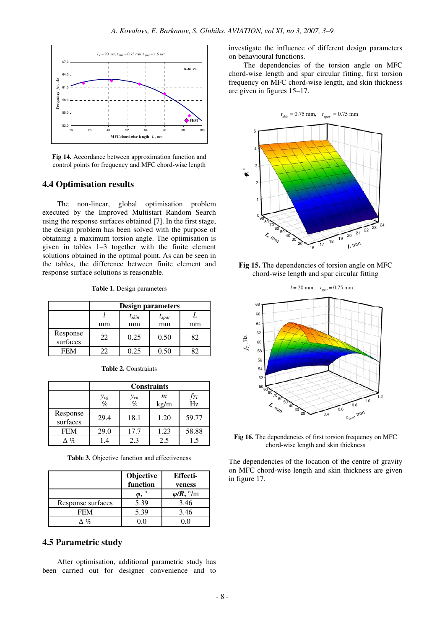

**Fig 14.** Accordance between approximation function and control points for frequency and MFC chord-wise length

#### **4.4 Optimisation results**

The non-linear, global optimisation problem executed by the Improved Multistart Random Search using the response surfaces obtained [7]. In the first stage, the design problem has been solved with the purpose of obtaining a maximum torsion angle. The optimisation is given in tables 1–3 together with the finite element solutions obtained in the optimal point. As can be seen in the tables, the difference between finite element and response surface solutions is reasonable.

**Table 1.** Design parameters

|                      | <b>Design parameters</b> |            |                   |    |
|----------------------|--------------------------|------------|-------------------|----|
|                      |                          | $t_{skin}$ | $t_{\text{spar}}$ |    |
|                      | mm                       | mm         | mm                | mm |
| Response<br>surfaces | 22                       | 0.25       | 0.50              | 82 |
| <b>FEM</b>           | フフ                       | 0.25       | 0.50              |    |

|                      | <b>Constraints</b>   |               |           |           |
|----------------------|----------------------|---------------|-----------|-----------|
|                      | $\frac{y_{cg}}{q_0}$ | $y_{ea}$<br>% | m<br>kg/m | fтı<br>Hz |
| Response<br>surfaces | 29.4                 | 18.1          | 1.20      | 59.77     |
| <b>FEM</b>           | 29.0                 | 17.7          | 1.23      | 58.88     |
| $\%$                 | $\cdot$ 4            | 2.3           | 2.5       | 1.5       |

**Table 2.** Constraints

**Table 3.** Objective function and effectiveness

|                   | Objective | <b>Effecti-</b>         |
|-------------------|-----------|-------------------------|
|                   | function  | veness                  |
|                   |           | $\phi/R$ , $\degree$ /m |
| Response surfaces | 5.39      | 3.46                    |
| <b>FEM</b>        | 5.39      | 3.46                    |
| $O_{\mathcal{L}}$ |           |                         |

#### **4.5 Parametric study**

After optimisation, additional parametric study has been carried out for designer convenience and to investigate the influence of different design parameters on behavioural functions.

The dependencies of the torsion angle on MFC chord-wise length and spar circular fitting, first torsion frequency on MFC chord-wise length, and skin thickness are given in figures 15–17.



**Fig 15.** The dependencies of torsion angle on MFC chord-wise length and spar circular fitting



**Fig 16.** The dependencies of first torsion frequency on MFC chord-wise length and skin thickness

The dependencies of the location of the centre of gravity on MFC chord-wise length and skin thickness are given in figure 17.